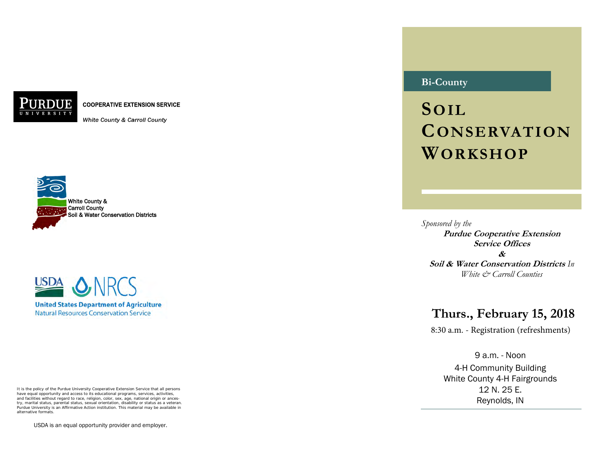**COOPERATIVE EXTENSION SERVICE** 

White County & Carroll County





It is the policy of the Purdue University Cooperative Extension Service that all persons have equal opportunity and access to its educational programs, services, activities, and facilities without regard to race, religion, color, sex, age, national origin or ancestry, marital status, parental status, sexual orientation, disability or status as a veteran. Purdue University is an Affirmative Action institution. This material may be available in alternative formats.

USDA is an equal opportunity provider and employer.

# **Bi-County**

**SOIL CONSERVATION WORKSHOP**

*Sponsored by the*  **Purdue Cooperative Extension Service Offices & Soil & Water Conservation Districts** *In White & Carroll Counties* 

# **Thurs., February 15, 2018**

8:30 a.m. - Registration (refreshments)

9 a.m. - Noon 4-H Community Building White County 4-H Fairgrounds 12 N. 25 E. Reynolds, IN